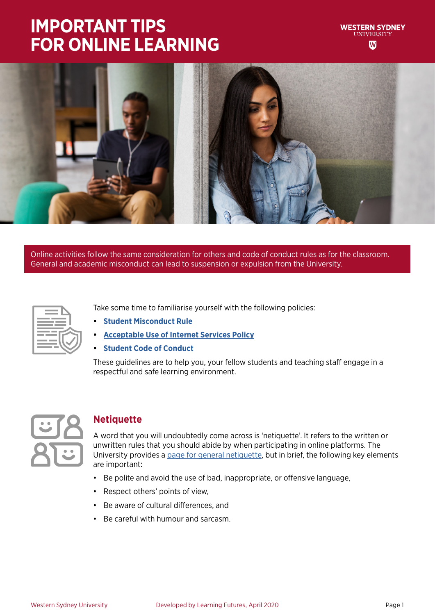### **IMPORTANT TIPS FOR ONLINE LEARNING**



Online activities follow the same consideration for others and code of conduct rules as for the classroom. General and academic misconduct can lead to suspension or expulsion from the University.

Take some time to familiarise yourself with the following policies:

- **• [Student Misconduct Rule](https://policies.westernsydney.edu.au/document/view.current.php?id=304)**
- **• [Acceptable Use of Internet Services Policy](https://policies.westernsydney.edu.au/document/view.current.php?id=124)**
- **• [Student Code of Conduct](https://policies.westernsydney.edu.au/document/view.current.php?id=258
)**

These guidelines are to help you, your fellow students and teaching staff engage in a respectful and safe learning environment.



### **Netiquette**

A word that you will undoubtedly come across is 'netiquette'. It refers to the written or unwritten rules that you should abide by when participating in online platforms. The University provides a [page for general netiquette](https://www.westernsydney.edu.au/tld/home/how_to/how-to_resources/internet_resources/outlook_online_netiquette), but in brief, the following key elements are important:

- Be polite and avoid the use of bad, inappropriate, or offensive language,
- Respect others' points of view,
- Be aware of cultural differences, and
- Be careful with humour and sarcasm.